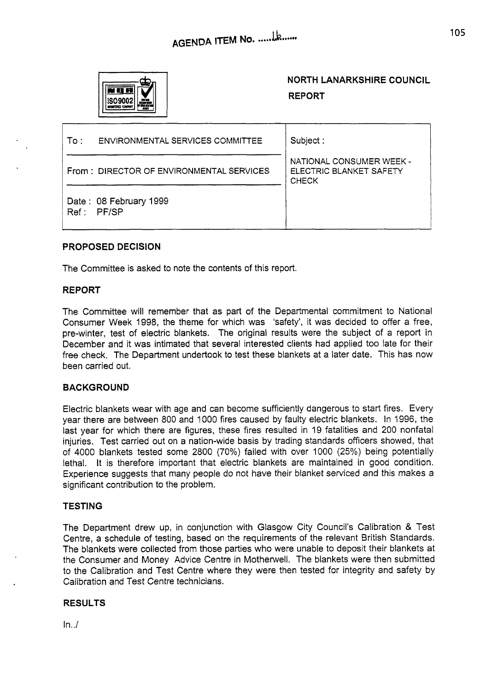

# **NORTH LANARKSHIRE COUNCIL REPORT**

| To :⊹ | ENVIRONMENTAL SERVICES COMMITTEE         | Subject:                                                            |
|-------|------------------------------------------|---------------------------------------------------------------------|
|       | From: DIRECTOR OF ENVIRONMENTAL SERVICES | NATIONAL CONSUMER WEEK -<br>ELECTRIC BLANKET SAFETY<br><b>CHECK</b> |
| Ref:  | Date: 08 February 1999<br><b>PF/SP</b>   |                                                                     |

# **PROPOSED DECISION**

The Committee is asked to note the contents of this report.

#### **REPORT**

The Committee will remember that as part of the Departmental commitment to National Consumer Week 1998, the theme for which was 'safety', it was decided to offer a free, pre-winter, test of electric blankets. The original results were the subject of a report in December and it was intimated that several interested clients had applied too late for their free check. The Department undertook to test these blankets at a later date. This has now been carried out.

## **BACKGROUND**

Electric blankets wear with age and can become sufficiently dangerous to start fires. Every year there are between 800 and 1000 fires caused by faulty electric blankets. In 1996, the last year for which there are figures, these fires resulted in 19 fatalities and 200 nonfatal injuries. Test carried out on a nation-wide basis by trading standards officers showed, that of 4000 blankets tested some 2800 (70%) failed with over 1000 (25%) being potentially lethal. It is therefore important that electric blankets are maintained in good condition. Experience suggests that many people do not have their blanket serviced and this makes a significant contribution to the problem.

#### **TESTING**

The Department drew up, in conjunction with Glasgow City Council's Calibration & Test Centre, a schedule of testing, based on the requirements of the relevant British Standards. The blankets were collected from those parties who were unable to deposit their blankets at the Consumer and Money Advice Centre in Motherwell. The blankets were then submitted to the Calibration and Test Centre where they were then tested for integrity and safety by Calibration and Test Centre technicians.

## **RESULTS**

 $In../$